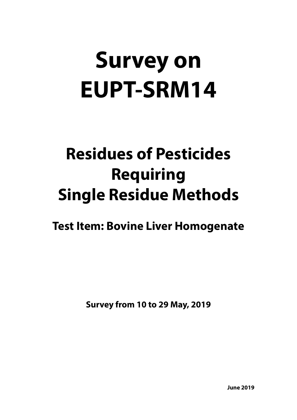# **Survey on EUPT-SRM14**

## **Residues of Pesticides Requiring Single Residue Methods**

### **Test Item: Bovine Liver Homogenate**

**Survey from 10 to 29 May, 2019**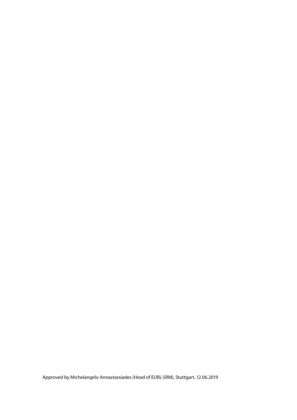Approved by Michelangelo Annastassiades (Head of EURL-SRM), Stuttgart, 12.06.2019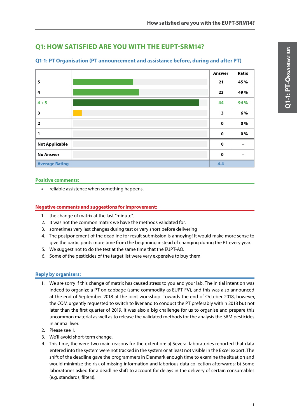| 21<br>23     | 45 % |
|--------------|------|
|              |      |
|              | 49 % |
| 44           | 94 % |
| 3            | 6%   |
| $\Omega$     | 0%   |
| $\mathbf{0}$ | 0%   |
| $\mathbf{0}$ |      |
|              |      |

#### **Q1-1: PT Organisation (PT announcement and assistance before, during and after PT)**

#### **Positive comments:**

**•** reliable assistence when something happens.

#### **Negative comments and suggestions for improvement:**

- 1. the change of matrix at the last "minute".
- 2. It was not the common matrix we have the methods validated for.
- 3. sometimes very last changes during test or very short before delivering
- 4. The postponement of the deadline for result submission is annoying! It would make more sense to give the participants more time from the beginning instead of changing during the PT every year.
- 5. We suggest not to do the test at the same time that the EUPT-AO.
- 6. Some of the pesticides of the target list were very expensive to buy them.

#### **Reply by organisers:**

- 1. We are sorry if this change of matrix has caused stress to you and your lab. The initial intention was indeed to organize a PT on cabbage (same commodity as EUPT-FV), and this was also announced at the end of September 2018 at the joint workshop. Towards the end of October 2018, however, the COM urgently requested to switch to liver and to conduct the PT preferably within 2018 but not later than the first quarter of 2019. It was also a big challenge for us to organise and prepare this uncommon material as well as to release the validated methods for the analysis the SRM pesticides in animal liver.
- 2. Please see 1.
- 3. We'll avoid short-term change.
- 4. This time, the were two main reasons for the extention: a) Several laboratories reported that data entered into the system were not tracked in the system or at least not visible in the Excel export. The shift of the deadline gave the programmers in Denmark enough time to examine the situation and would minimize the risk of missing information and laborious data collection afterwards; b) Some laboratories asked for a deadline shift to account for delays in the delivery of certain consumables (e.g. standards, filters).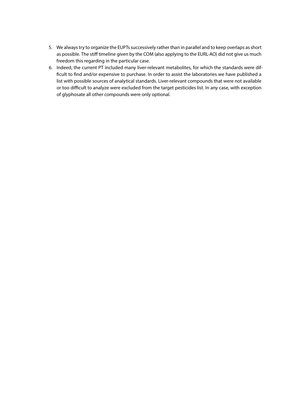- 5. We always try to organize the EUPTs successively rather than in parallel and to keep overlaps as short as possible. The stiff timeline given by the COM (also applying to the EURL-AO) did not give us much freedom this regarding in the particular case.
- 6. Indeed, the current PT included many liver-relevant metabolites, for which the standards were difficult to find and/or expensive to purchase. In order to assist the laboratories we have published a list with possible sources of analytical standards. Liver-relevant compounds that were not available or too difficult to analyze were excluded from the target pesticides list. In any case, with exception of glyphosate all other compounds were only optional.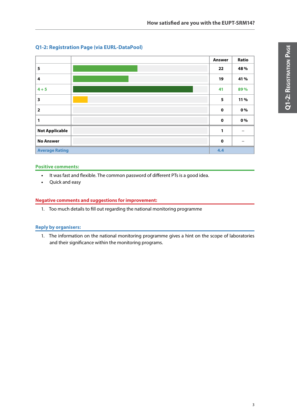

#### **Q1-2: Registration Page (via EURL-DataPool)**

#### **Positive comments:**

- **•** It was fast and flexible. The common password of different PTs is a good idea.
- **•** Quick and easy

#### **Negative comments and suggestions for improvement:**

1. Too much details to fill out regarding the national monitoring programme

#### **Reply by organisers:**

1. The information on the national monitoring programme gives a hint on the scope of laboratories and their significance within the monitoring programs.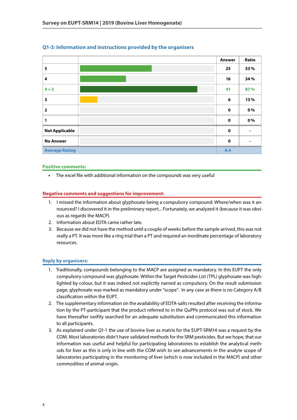

#### **Q1-3: Information and instructions provided by the organisers**

#### **Positive comments:**

**•** The excel file with additional information on the compounds was very useful

#### **Negative comments and suggestions for improvement:**

- 1. I missed the information about glyphosate being a compulsory compound: Where/when was it announced? I discovered it in the preliminary report... Fortunately, we analyzed it (because it was obvious as regards the MACP).
- 2. Information about EDTA came rather late.
- 3. Because we did not have the method until a couple of weeks before the sample arrived, this was not really a PT. It was more like a ring trial than a PT and required an inordinate percentage of laboratory resources.

#### **Reply by organisers:**

- 1. Traditionally, compounds belonging to the MACP are assigned as mandatory. In this EUPT the only compulsory compound was glyphosate. Within the Target Pesticides List (TPL) glyphosate was highlighted by colour, but it was indeed not explicitly named as compulsory. On the result submission page, glyphosate was marked as mandatory under "scope". In any case as there is no Category A/B classification within the EUPT.
- 2. The supplementary information on the availability of EDTA-salts resulted after receiving the information by the PT-participant that the product referred to in the QuPPe protocol was out of stock. We have thereafter swiftly searched for an adequate substitution and communicated this information to all participants.
- 3. As explained under Q1-1 the use of bovine liver as matrix for the EUPT-SRM14 was a request by the COM. Most laboratories didn't have validated methods for the SRM pesticides. But we hope, that our information was useful and helpful for participating laboratories to establish the analytical methods for liver as this is only in line with the COM wish to see advancements in the analyte scope of laboratories participating in the monitoring of liver (which is now included in the MACP) and other commodities of animal origin.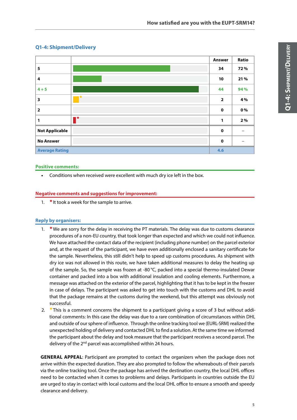### **Answer Ratio 5 34 72 % 4 10 21 % 4 + 5 44 94 % 3 2 4 % 2 0 0 % 1 1 2 % Not Applicable 0** − **No Answer 0** − **Average Rating 4.6**

#### **Q1-4: Shipment/Delivery n**

#### **Positive comments:**

**•** Conditions when received were excellent with much dry ice left in the box.

#### **Negative comments and suggestions for improvement:**

1.  $\star$  It took a week for the sample to arrive.

#### **Reply by organisers:**

- 1.  $*$  We are sorry for the delay in receiving the PT materials. The delay was due to customs clearance procedures of a non-EU country, that took longer than expected and which we could not influence. We have attached the contact data of the recipient (including phone number) on the parcel exterior and, at the request of the participant, we have even additionally enclosed a sanitary certificate for the sample. Nevertheless, this still didn't help to speed up customs procedures. As shipment with dry ice was not allowed in this route, we have taken additional measures to delay the heating up of the sample. So, the sample was frozen at -80 °C, packed into a special thermo-insulated Dewar container and packed into a box with additional insulation and cooling elements. Furthermore, a message was attached on the exterior of the parcel, highlighting that it has to be kept in the freezer in case of delays. The participant was asked to get into touch with the customs and DHL to avoid that the package remains at the customs during the weekend, but this attempt was obviously not successful.
- 2.  $\star$  This is a comment concerns the shipment to a participant giving a score of 3 but without additional comments: In this case the delay was due to a rare combination of circumstances within DHL and outside of our sphere of influence. Through the online tracking tool we (EURL-SRM) realized the unexpected holding of delivery and contacted DHL to find a solution. At the same time we informed the participant about the delay and took measure that the participant receives a second parcel. The delivery of the 2<sup>nd</sup> parcel was accomplished within 24 hours.

**General Appeal**: Participant are prompted to contact the organizers when the package does not arrive within the expected duration. They are also prompted to follow the whereabouts of their parcels via the online tracking tool. Once the package has arrived the destination country, the local DHL offices need to be contacted when it comes to problems and delays. Participants in countries outside the EU are urged to stay in contact with local customs and the local DHL office to ensure a smooth and speedy clearance and delivery.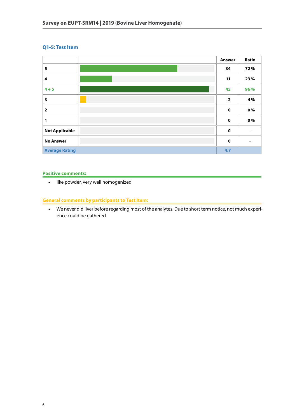#### **Q1-5: Test Item**



#### **Positive comments:**

**•** like powder, very well homogenized

#### **General comments by participants to Test Item:**

**•** We never did liver before regarding most of the analytes. Due to short term notice, not much experience could be gathered.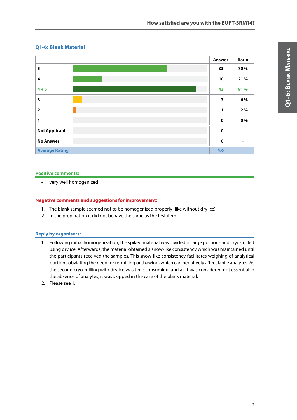

#### **Q1-6: Blank Material**

#### **Positive comments:**

**•** very well homogenized

#### **Negative comments and suggestions for improvement:**

- 1. The blank sample seemed not to be homogenized properly (like without dry ice)
- 2. In the preparation it did not behave the same as the test item.

#### **Reply by organisers:**

- 1. Following initial homogenization, the spiked material was divided in large portions and cryo-milled using dry ice. Afterwards, the material obtained a snow-like consistency which was maintained until the participants received the samples. This snow-like consistency facilitates weighing of analytical portions obviating the need for re-milling or thawing, which can negatively affect labile analytes. As the second cryo-milling with dry ice was time consuming, and as it was considered not essential in the absence of analytes, it was skipped in the case of the blank material.
- 2. Please see 1.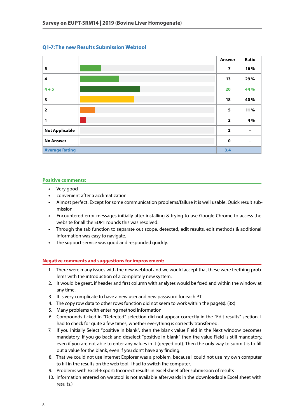

#### **Q1-7: The new Results Submission Webtool**

#### **Positive comments:**

- **•** Very good
- **•** convenient after a acclimatization
- **•** Almost perfect. Except for some communication problems/failure it is well usable. Quick result submission.
- **•** Encountered error messages initially after installing & trying to use Google Chrome to access the website for all the EUPT rounds this was resolved.
- **•** Through the tab function to separate out scope, detected, edit results, edit methods & additional information was easy to navigate.
- **•** The support service was good and responded quickly.

#### **Negative comments and suggestions for improvement:**

- 1. There were many issues with the new webtool and we would accept that these were teething problems with the introduction of a completely new system.
- 2. It would be great, if header and first column with analytes would be fixed and within the window at any time.
- 3. It is very complicate to have a new user and new password for each PT.
- 4. The copy row data to other rows function did not seem to work within the page(s).  $(3x)$
- 5. Many problems with entering method information
- 6. Compounds ticked in "Detected" selection did not appear correctly in the "Edit results" section. I had to check for quite a few times, whether everything is correctly transferred.
- 7. If you initially Select "positive in blank", then the blank value Field in the Next window becomes mandatory. If you go back and deselect "positive in blank" then the value Field is still mandatory, even if you are not able to enter any values in it (greyed out). Then the only way to submit is to fill out a value for the blank, even if you don't have any finding.
- 8. That we could not use Internet Explorer was a problem, because I could not use my own computer to fill in the results on the web tool. I had to switch the computer.
- 9. Problems with Excel-Export: Incorrect results in excel sheet after submission of results
- 10. information entered on webtool is not available afterwards in the downloadable Excel sheet with results.)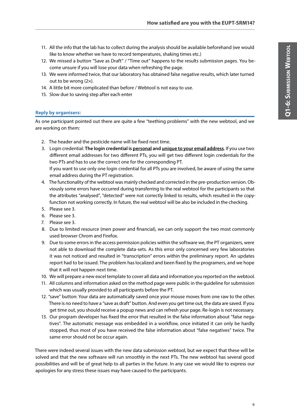- 11. All the info that the lab has to collect during the analysis should be available beforehand (we would like to know whether we have to record temperatures, shaking times etc.)
- 12. We missed a button "Save as Draft" / "Time out" happens to the results submission pages. You become unsure if you will lose your data when refreshing the page.
- 13. We were informed twice, that our laboratory has obtained false negative results, which later turned out to be wrong (2×).
- 14. A little bit more complicated than before / Webtool is not easy to use.
- 15. Slow due to saving step after each enter

#### **Reply by organisers:**

As one participant pointed out there are quite a few "teething problems" with the new webtool, and we are working on them:

- 2. The header and the pesticide name will be fixed next time.
- 3. Login credential: **The login credential is personal and unique to your email address**. If you use two different email addresses for two different PTs, you will get two different login credentials for the two PTs and has to use the correct one for the corresponding PT. If you want to use only one login credential for all PTs you are involved, be aware of using the same email address during the PT registration.
- 4. The functionality of the webtool was mainly checked and corrected in the pre-production version. Obviously some errors have occurred during transferring to the real webtool for the participants so that the attributes "analysed", "detected" were not correctly linked to results, which resulted in the copyfunction not working correctly. In future, the real webtool will be also be included in the checking.
- 5. Please see 3.
- 6. Please see 3.
- 7. Please see 3.
- 8. Due to limited resource (men power and financial), we can only support the two most commonly used browser Chrom and Firefox.
- 9. Due to some errors in the access permission policies within the software we, the PT organizers, were not able to download the complete data-sets. As this error only concerned very few laboratories it was not noticed and resulted in "transcription" errors within the preliminary report. An updates report had to be issued. The problem has localized and been fixed by the programers, and we hope that it will not happen next time.
- 10. We will prepare a new excel template to cover all data and information you reported on the webtool.
- 11. All columns and information asked on the method page were public in the guideline for submission which was usually provided to all participants before the PT.
- 12. "save" button: Your data are automatically saved once your mouse moves from one raw to the other. There is no need to have a "save as draft" button. And even you get time out, the data are saved. If you get time out, you should receive a popup news and can refresh your page. Re-login is not necessary.
- 13. Our program developer has fixed the error that resulted in the false information about "false negatives". The automatic message was embedded in a workflow, once initiated it can only be hardly stopped, thus most of you have received the false information about "false negatives" twice. The same error should not be occur again.

There were indeed several issues with the new data submission webtool, but we expect that these will be solved and that the new software will run smoothly in the next PTs. The new webtool has several good possibilities and will be of great help to all parties in the future. In any case we would like to express our apologies for any stress these issues may have caused to the participants.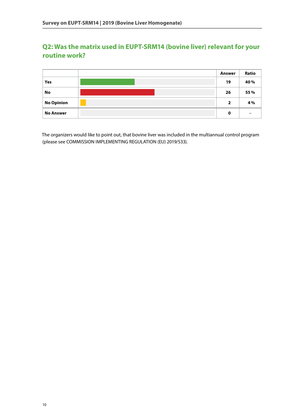#### **Q2: Was the matrix used in EUPT-SRM14 (bovine liver) relevant for your routine work?**

|                   | Answer                  | Ratio |
|-------------------|-------------------------|-------|
| <b>Yes</b>        | 19                      | 40%   |
| No                | 26                      | 55 %  |
| <b>No Opinion</b> | $\overline{\mathbf{2}}$ | 4 %   |
| <b>No Answer</b>  | 0                       |       |

The organizers would like to point out, that bovine liver was included in the multiannual control program (please see COMMISSION IMPLEMENTING REGULATION (EU) 2019/533).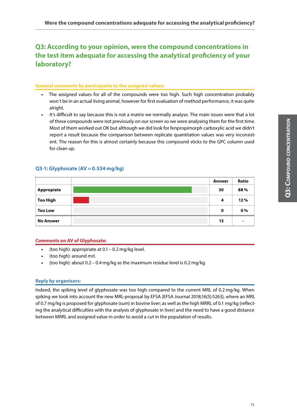#### **Q3: According to your opinion, were the compound concentrations in the test item adequate for accessing the analytical proficiency of your laboratory?**

#### **General comments by participants to the assigned values:**

- **•** The assigned values for all of the compounds were too high. Such high concentration probably won´t be in an actual living animal, however for first evaluation of method performance, it was quite alright.
- **•** It's difficult to say because this is not a matrix we normally analyse. The main issues were that a lot of these compounds were not previously on our screen so we were analysing them for the first time. Most of them worked out OK but although we did look for fenpropimorph carboxylic acid we didn't report a result because the comparison between replicate quantitation values was very inconsistent. The reason for this is almost certainly because this compound sticks to the GPC column used for clean up.

#### **Q3-1: Glyphosate (AV = 0.534 mg/kg)**

|                  | Answer      | Ratio |
|------------------|-------------|-------|
| Appropiate       | 30          | 88%   |
| <b>Too High</b>  | 4           | 12%   |
| <b>Too Low</b>   | $\mathbf 0$ | 0%    |
| <b>No Answer</b> | 13          |       |

#### **Comments on AV of Glyphosate:**

- **•** (too high): appropriate at 0.1 0.2 mg/kg level.
- **•** (too high): around mrl.
- **•** (too high): about 0.2 0.4 mg/kg as the maximum residue level is 0.2 mg/kg

#### **Reply by organisers:**

Indeed, the spiking level of glyphosate was too high compared to the current MRL of 0.2 mg/kg. When spiking we took into account the new MRL-proposal by EFSA (EFSA Journal 2018;16(5):5263), where an MRL of 0.7 mg/kg is proposed for glyphosate (sum) in bovine liver; as well as the high MRRL of 0.1 mg/kg (reflecting the analytical difficulties with the analysis of glyphosate in liver) and the need to have a good distance between MRRL and assigned value in order to avoid a cut in the population of results.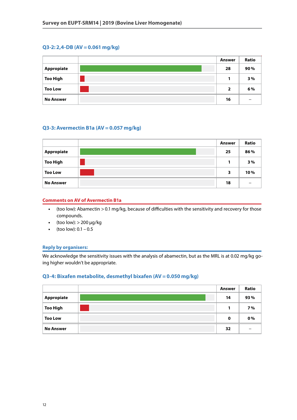#### **Q3-2: 2,4-DB (AV = 0.061 mg/kg)**



#### **Q3-3: Avermectin B1a (AV = 0.057 mg/kg)**



#### **Comments on AV of Avermectin B1a**

- **•** (too low): Abamectin > 0.1 mg/kg, because of difficulties with the sensitivity and recovery for those compounds.
- **•** (too low): > 200 µg/kg
- **•** (too low): 0.1 0.5

#### **Reply by organisers:**

We acknowledge the sensitivity issues with the analysis of abamectin, but as the MRL is at 0.02 mg/kg going higher wouldn't be appropriate.

#### **Q3-4: Bixafen metabolite, desmethyl bixafen (AV = 0.050 mg/kg)**

|                  | Answer | Ratio |
|------------------|--------|-------|
| Appropiate       | 14     | 93%   |
| <b>Too High</b>  |        | 7%    |
| <b>Too Low</b>   | 0      | 0%    |
| <b>No Answer</b> | 32     |       |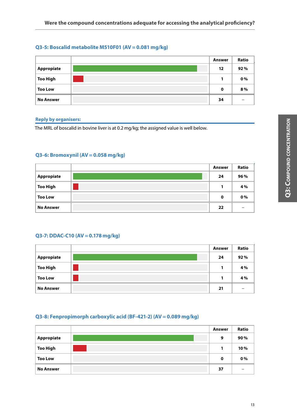#### **Q3-5: Boscalid metabolite M510F01 (AV = 0.081 mg/kg)**

|                  | Answer | <b>Ratio</b> |
|------------------|--------|--------------|
| Appropiate       | 12     | 92%          |
| <b>Too High</b>  |        | 0%           |
| <b>Too Low</b>   | 0      | 8%           |
| <b>No Answer</b> | 34     |              |

#### **Reply by organisers:**

The MRL of boscalid in bovine liver is at 0.2 mg/kg; the assigned value is well below.

#### **Q3-6: Bromoxynil (AV = 0.058 mg/kg)**

|                  | Answer      | Ratio |
|------------------|-------------|-------|
| Appropiate       | 24          | 96%   |
| <b>Too High</b>  |             | 4 %   |
| <b>Too Low</b>   | $\mathbf 0$ | 0%    |
| <b>No Answer</b> | 22          |       |

#### **Q3-7: DDAC-C10 (AV = 0.178 mg/kg)**

|                  | Answer | <b>Ratio</b> |
|------------------|--------|--------------|
| Appropiate       | 24     | 92%          |
| <b>Too High</b>  |        | 4 %          |
| <b>Too Low</b>   | ъ      | 4 %          |
| <b>No Answer</b> | 21     |              |

#### **Q3-8: Fenpropimorph carboxylic acid (BF-421-2) (AV = 0.089 mg/kg)**

|                  | Answer      | Ratio |
|------------------|-------------|-------|
| Appropiate       | 9           | 90%   |
| <b>Too High</b>  |             | 10%   |
| <b>Too Low</b>   | $\mathbf 0$ | 0%    |
| <b>No Answer</b> | 37          |       |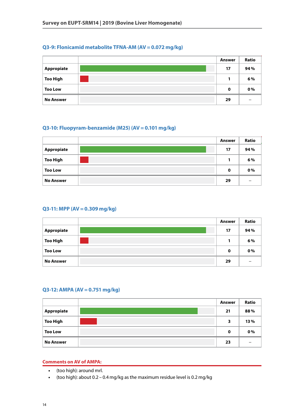#### **Q3-9: Flonicamid metabolite TFNA-AM (AV = 0.072 mg/kg)**

|                  | Answer | Ratio |
|------------------|--------|-------|
| Appropiate       | 17     | 94%   |
| <b>Too High</b>  |        | 6%    |
| <b>Too Low</b>   | 0      | 0%    |
| <b>No Answer</b> | 29     |       |

#### **Q3-10: Fluopyram-benzamide (M25) (AV = 0.101 mg/kg)**

|                  | Answer      | Ratio                    |
|------------------|-------------|--------------------------|
| Appropiate       | 17          | 94%                      |
| <b>Too High</b>  |             | 6 %                      |
| <b>Too Low</b>   | $\mathbf 0$ | 0%                       |
| <b>No Answer</b> | 29          | $\overline{\phantom{0}}$ |

#### **Q3-11: MPP (AV = 0.309 mg/kg)**

|                  | Answer | Ratio |
|------------------|--------|-------|
| Appropiate       | 17     | 94%   |
| <b>Too High</b>  | п      | 6%    |
| <b>Too Low</b>   | 0      | 0%    |
| <b>No Answer</b> | 29     |       |

#### **Q3-12: AMPA (AV = 0.751 mg/kg)**

|                  | Answer | Ratio |
|------------------|--------|-------|
| Appropiate       | 21     | 88%   |
| <b>Too High</b>  | 3      | 13%   |
| <b>Too Low</b>   | 0      | 0%    |
| <b>No Answer</b> | 23     |       |

#### **Comments on AV of AMPA:**

- **•** (too high): around mrl.
- **•** (too high): about 0.2 0.4 mg/kg as the maximum residue level is 0.2 mg/kg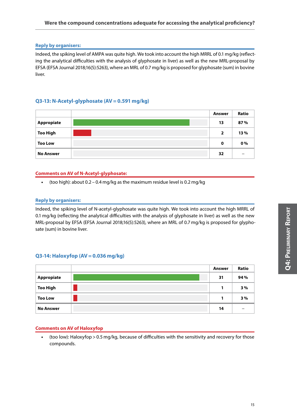#### **Reply by organisers:**

Indeed, the spiking level of AMPA was quite high. We took into account the high MRRL of 0.1 mg/kg (reflecting the analytical difficulties with the analysis of glyphosate in liver) as well as the new MRL-proposal by EFSA (EFSA Journal 2018;16(5):5263), where an MRL of 0.7 mg/kg is proposed for glyphosate (sum) in bovine liver.

#### **Q3-13: N-Acetyl-glyphosate (AV = 0.591 mg/kg)**

|                  | Answer         | Ratio |
|------------------|----------------|-------|
| Appropiate       | 13             | 87%   |
| <b>Too High</b>  | $\overline{2}$ | 13%   |
| <b>Too Low</b>   | 0              | 0%    |
| <b>No Answer</b> | 32             |       |

#### **Comments on AV of N-Acetyl-glyphosate:**

**•** (too high): about 0.2 – 0.4 mg/kg as the maximum residue level is 0.2 mg/kg

#### **Reply by organisers:**

Indeed, the spiking level of N-acetyl-glyphosate was quite high. We took into account the high MRRL of 0.1 mg/kg (reflecting the analytical difficulties with the analysis of glyphosate in liver) as well as the new MRL-proposal by EFSA (EFSA Journal 2018;16(5):5263), where an MRL of 0.7 mg/kg is proposed for glyphosate (sum) in bovine liver.

#### **Q3-14: Haloxyfop (AV = 0.036 mg/kg)**

|                  | Answer | Ratio |
|------------------|--------|-------|
| Appropiate       | 31     | 94%   |
| <b>Too High</b>  |        | 3%    |
| <b>Too Low</b>   | т      | 3%    |
| <b>No Answer</b> | 14     |       |

#### **Comments on AV of Haloxyfop**

**•** (too low): Haloxyfop > 0.5 mg/kg, because of difficulties with the sensitivity and recovery for those compounds.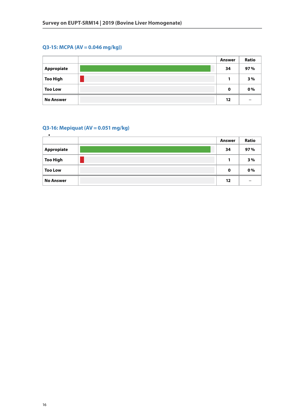#### **Q3-15: MCPA (AV = 0.046 mg/kg))**

|                  | Answer      | Ratio |
|------------------|-------------|-------|
| Appropiate       | 34          | 97%   |
| <b>Too High</b>  |             | 3%    |
| <b>Too Low</b>   | $\mathbf 0$ | 0%    |
| <b>No Answer</b> | $12 \,$     |       |

#### **Q3-16: Mepiquat (AV = 0.051 mg/kg)**

|                  | Answer | Ratio |
|------------------|--------|-------|
| Appropiate       | 34     | 97%   |
| <b>Too High</b>  | 1      | 3%    |
| <b>Too Low</b>   | 0      | 0%    |
| <b>No Answer</b> | 12     |       |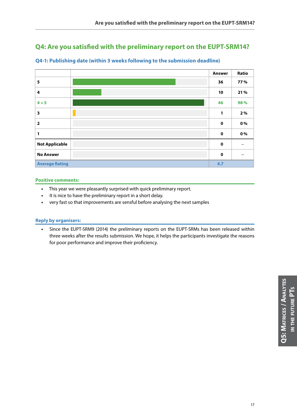#### **Q4: Are you satisfied with the preliminary report on the EUPT-SRM14?**

|                         | <b>Answer</b> | Ratio |
|-------------------------|---------------|-------|
| 5                       | 36            | 77%   |
| 4                       | 10            | 21%   |
| $4 + 5$                 | 46            | 98%   |
| $\overline{\mathbf{3}}$ | 1             | 2%    |
| $\overline{\mathbf{2}}$ | $\mathbf 0$   | 0%    |
| 1                       | $\mathbf 0$   | 0%    |
| <b>Not Applicable</b>   | $\mathbf 0$   |       |
| <b>No Answer</b>        | $\mathbf 0$   |       |
| <b>Average Rating</b>   | 4.7           |       |

#### **Q4-1: Publishing date (within 3 weeks following to the submission deadline)**

#### **Positive comments:**

- **•** This year we were pleasantly surprised with quick preliminary report.
- **•** It is nice to have the preliminary report in a short delay.
- **•** very fast so that improvements are sensful before analysing the next samples

#### **Reply by organisers:**

**•** Since the EUPT-SRM9 (2014) the preliminary reports on the EUPT-SRMs has been released within three weeks after the results submission. We hope, it helps the participants investigate the reasons for poor performance and improve their proficiency.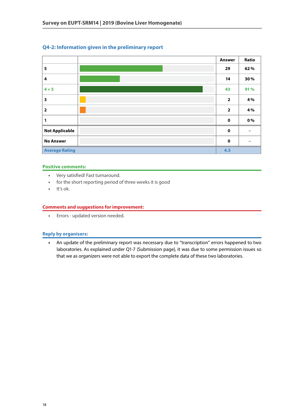#### **Q4-2: Information given in the preliminary report**



#### **Positive comments:**

- **•** Very satisfied! Fast turnaround.
- **•** for the short reporting period of three weeks it is good
- **•** It's ok.

#### **Comments and suggestions for improvement:**

**•** Errors - updated version needed.

#### **Reply by organisers:**

**•** An update of the preliminary report was necessary due to "transcription" errors happened to two laboratories. As explained under Q1-7 (Submission page), it was due to some permission issues so that we as organizers were not able to export the complete data of these two laboratories.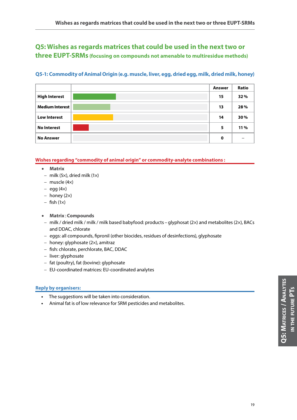#### **Q5: Wishes as regards matrices that could be used in the next two or three EUPT-SRMs (focusing on compounds not amenable to multiresidue methods)**

#### **Q5-1: Commodity of Animal Origin (e.g. muscle, liver, egg, dried egg, milk, dried milk, honey)**

|                      | Answer      | Ratio |
|----------------------|-------------|-------|
| <b>High Interest</b> | 15          | 32%   |
| Medium Interest      | 13          | 28%   |
| <b>Low Interest</b>  | 14          | 30%   |
| <b>No Interest</b>   | 5           | 11 %  |
| <b>No Answer</b>     | $\mathbf 0$ |       |

#### **Wishes regarding "commodity of animal origin" or commodity-analyte combinations :**

- **Matrix**
- − milk (5×), dried milk (1×)
- − muscle (4×)
- − egg (4×)
- − honey (2×)
- − fish (1×)

#### • **Matrix** : **Compounds**

- − milk / dried milk / milk / milk based babyfood: products glyphosat (2×) and metabolites (2×), BACs and DDAC, chlorate
- − eggs: all compounds, fipronil (other biocides, residues of desinfections), glyphosate
- − honey: glyphosate (2×), amitraz
- − fish: chlorate, perchlorate, BAC, DDAC
- − liver: glyphosate
- − fat (poultry), fat (bovine): glyphosate
- − EU-coordinated matrices: EU-coordinated analytes

#### **Reply by organisers:**

- **•** The suggestions will be taken into consideration.
- **•** Animal fat is of low relevance for SRM pesticides and metabolites.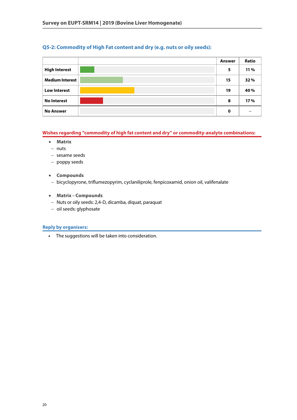#### **Q5-2: Commodity of High Fat content and dry (e.g. nuts or oily seeds):**

|                        | <b>Answer</b> | Ratio |
|------------------------|---------------|-------|
| <b>High Interest</b>   | 5             | 11 %  |
| <b>Medium Interest</b> | 15            | 32%   |
| <b>Low Interest</b>    | 19            | 40%   |
| <b>No Interest</b>     | 8             | 17%   |
| <b>No Answer</b>       | 0             |       |

#### **Wishes regarding "commodity of high fat content and dry" or commodity-analyte combinations:**

- **Matrix**
- − nuts
- − sesame seeds
- − poppy seeds
- **Compounds**
- − bicyclopyrone, triflumezopyrim, cyclaniliprole, fenpicoxamid, onion oil, valifenalate
- **Matrix Compounds**
- − Nuts or oily seeds: 2,4-D, dicamba, diquat, paraquat
- − oil seeds: glyphosate

#### **Reply by organisers:**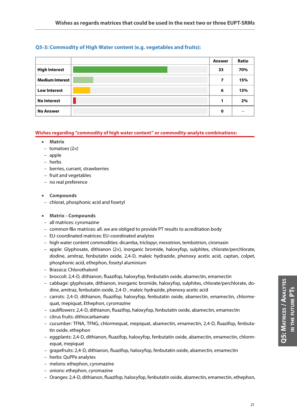#### **Q5-3: Commodity of High Water content (e.g. vegetables and fruits):**

|                        | Answer | Ratio |
|------------------------|--------|-------|
| <b>High Interest</b>   | 33     | 70%   |
| <b>Medium Interest</b> | 7      | 15%   |
| <b>Low Interest</b>    | 6      | 13%   |
| <b>No Interest</b>     |        | 2%    |
| <b>No Answer</b>       | 0      |       |

#### **Wishes regarding "commodity of high water content" or commodity-analyte combinations:**

- **Matrix**
- − tomatoes (2×)
- − apple
- − herbs
- − berries, currant, strawberries
- − fruit and vegetables
- − no real preference

#### • **Compounds**

− chlorat, phosphonic acid and fosetyl

#### • **Matrix** – **Compounds**

- − all matrices: cyromazine
- − common f&v matrices: all. we are obliged to provide PT results to acreditation body
- − EU-coordinated matrices: EU-coordinated analytes
- − high water content commodities: dicamba, triclopyr, mesotrion, tembotrion, ciromasin
- − apple: Glyphosate, dithianon (2×), inorganic bromide, haloxyfop, sulphites, chlorate/perchlorate, dodine, amitraz, fenbutatin oxide, 2,4-D, maleic hydrazide, phenoxy acetic acid, captan, colpet, phosphonic acid, ethephon, fosetyl aluminium
- − Brassica: Chlorothalonil
- − broccoli: 2,4-D, dithianon, fluazifop, haloxyfop, fenbutatin oxide, abamectin, emamectin
- − cabbage: glyphosate, dithianon, inorganic bromide, haloxyfop, sulphites, chlorate/perchlorate, dodine, amitraz, fenbutatin oxide, 2,4-D , maleic hydrazide, phenoxy acetic acid
- − carrots: 2,4-D, dithianon, fluazifop, haloxyfop, fenbutatin oxide, abamectin, emamectin, chlormequat, mepiquat, Ethephon, cyromazine
- − cauliflowers: 2,4-D, dithianon, fluazifop, haloxyfop, fenbutatin oxide, abamectin, emamectin
- − citrus fruits: dithiocarbamate
- − cucumber: TFNA, TFNG, chlormequat, mepiquat, abamectin, emamectin, 2,4-D, fluazifop, fenbutatin oxide, ethephon
- − eggplants: 2,4-D, dithianon, fluazifop, haloxyfop, fenbutatin oxide, abamectin, emamectin, chlormequat, mepiquat
- − grapefruits: 2,4-D, dithianon, fluazifop, haloxyfop, fenbutatin oxide, abamectin, emamectin
- − herbs: QuPPe analytes
- − melons: ethephon, cyromazine
- − onions: ethephon, cyromazine
- − Oranges: 2,4-D, dithianon, fluazifop, haloxyfop, fenbutatin oxide, abamectin, emamectin, ethephon,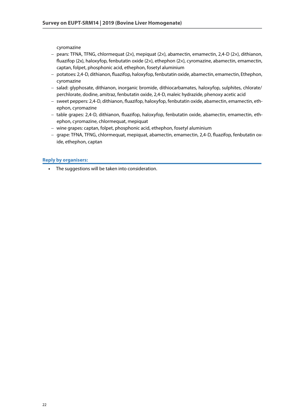cyromazine

- − pears: TFNA, TFNG, chlormequat (2×), mepiquat (2×), abamectin, emamectin, 2,4-D (2×), dithianon, fluazifop (2x), haloxyfop, fenbutatin oxide (2x), ethephon (2x), cyromazine, abamectin, emamectin, captan, folpet, phosphonic acid, ethephon, fosetyl aluminium
- − potatoes: 2,4-D, dithianon, fluazifop, haloxyfop, fenbutatin oxide, abamectin, emamectin, Ethephon, cyromazine
- − salad: glyphosate, dithianon, inorganic bromide, dithiocarbamates, haloxyfop, sulphites, chlorate/ perchlorate, dodine, amitraz, fenbutatin oxide, 2,4-D, maleic hydrazide, phenoxy acetic acid
- − sweet peppers: 2,4-D, dithianon, fluazifop, haloxyfop, fenbutatin oxide, abamectin, emamectin, ethephon, cyromazine
- − table grapes: 2,4-D, dithianon, fluazifop, haloxyfop, fenbutatin oxide, abamectin, emamectin, ethephon, cyromazine, chlormequat, mepiquat
- − wine grapes: captan, folpet, phosphonic acid, ethephon, fosetyl aluminium
- − grape: TFNA, TFNG, chlormequat, mepiquat, abamectin, emamectin, 2,4-D, fluazifop, fenbutatin oxide, ethephon, captan

#### **Reply by organisers:**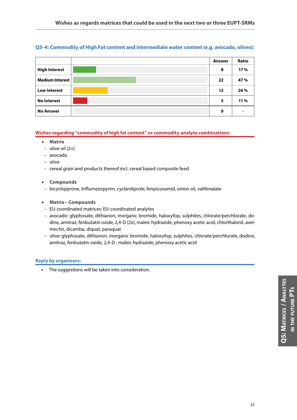#### **Q5-4: Commodity of High Fat content and intermediate water content (e.g. avocado, olives):**

|                        | <b>Answer</b> | Ratio |
|------------------------|---------------|-------|
| <b>High Interest</b>   | 8             | 17 %  |
| <b>Medium Interest</b> | 22            | 47%   |
| <b>Low Interest</b>    | 12            | 26 %  |
| <b>No Interest</b>     | 5             | 11 %  |
| <b>No Answer</b>       | 0             |       |

#### **Wishes regarding "commodity of high fat content" or commodity-analyte combinations:**

- **Matrix**
- − olive oil (2×)
- − avocado
- − olive
- − cereal grain and products thereof incl. cereal based composite feed
- **Compounds**
- − bicyclopyrone, triflumezopyrim, cyclaniliprole, fenpicoxamid, onion oil, valifenalate
- **Matrix Compounds**
- − EU-coordinated matrices: EU-coordinated analytes
- − avocado: glyphosate, dithianon, inorganic bromide, haloxyfop, sulphites, chlorate/perchlorate, dodine, amitraz, fenbutatin oxide, 2,4-D (2x), maleic hydrazide, phenoxy acetic acid, chlorthalonil, avermectin, dicamba, diquat, paraquat
- − olive: glyphosate, dithianon, inorganic bromide, haloxyfop, sulphites, chlorate/perchlorate, dodine, amitraz, fenbutatin oxide, 2,4-D , maleic hydrazide, phenoxy acetic acid

#### **Reply by organisers:**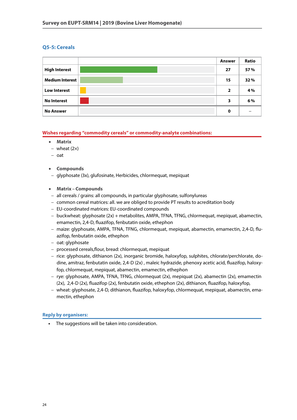#### **Q5-5: Cereals**

|                        | Answer         | Ratio |
|------------------------|----------------|-------|
| <b>High Interest</b>   | 27             | 57%   |
| <b>Medium Interest</b> | 15             | 32%   |
| <b>Low Interest</b>    | $\overline{2}$ | 4 %   |
| <b>No Interest</b>     | 3              | 6%    |
| <b>No Answer</b>       | 0              |       |

#### **Wishes regarding "commodity cereals" or commodity-analyte combinations:**

- **Matrix**
- − wheat (2×)
- − oat
- **Compounds**
- − glyphosate (3x), glufosinate, Herbicides, chlormequat, mepiquat

#### • **Matrix** – **Compounds**

- − all cereals / grains: all compounds, in particular glyphosate, sulfonylureas
- − common cereal matrices: all. we are obliged to provide PT results to acreditation body
- − EU-coordinated matrices: EU-coordinated compounds
- − buckwheat: glyphosate (2x) + metabolites, AMPA, TFNA, TFNG, chlormequat, mepiquat, abamectin, emamectin, 2,4-D, fluazifop, fenbutatin oxide, ethephon
- − maize: glyphosate, AMPA, TFNA, TFNG, chlormequat, mepiquat, abamectin, emamectin, 2,4-D, fluazifop, fenbutatin oxide, ethephon
- − oat: glyphosate
- − processed cereals,flour, bread: chlormequat, mepiquat
- − rice: glyphosate, dithianon (2x), inorganic bromide, haloxyfop, sulphites, chlorate/perchlorate, dodine, amitraz, fenbutatin oxide, 2,4-D (2x) , maleic hydrazide, phenoxy acetic acid, fluazifop, haloxyfop, chlormequat, mepiquat, abamectin, emamectin, ethephon
- − rye: glyphosate, AMPA, TFNA, TFNG, chlormequat (2x), mepiquat (2x), abamectin (2x), emamectin (2x), 2,4-D (2x), fluazifop (2x), fenbutatin oxide, ethephon (2x), dithianon, fluazifop, haloxyfop,
- − wheat: glyphosate, 2,4-D, dithianon, fluazifop, haloxyfop, chlormequat, mepiquat, abamectin, emamectin, ethephon

#### **Reply by organisers:**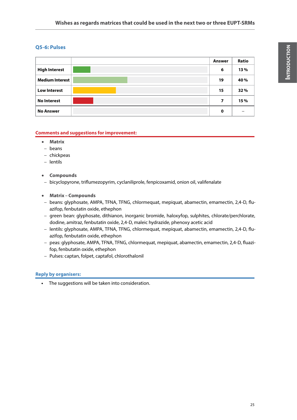#### **Q5-6: Pulses**

|                      | <b>Answer</b> | Ratio |
|----------------------|---------------|-------|
| <b>High Interest</b> | 6             | 13%   |
| Medium Interest      | 19            | 40%   |
| <b>Low Interest</b>  | 15            | 32%   |
| <b>No Interest</b>   | 7             | 15%   |
| <b>No Answer</b>     | 0             |       |

#### **Comments and suggestions for improvement:**

- **Matrix**
- − beans
- − chickpeas
- − lentils
- **Compounds**
- − bicyclopyrone, triflumezopyrim, cyclaniliprole, fenpicoxamid, onion oil, valifenalate
- **Matrix Compounds**
- − beans: glyphosate, AMPA, TFNA, TFNG, chlormequat, mepiquat, abamectin, emamectin, 2,4-D, fluazifop, fenbutatin oxide, ethephon
- − green bean: glyphosate, dithianon, inorganic bromide, haloxyfop, sulphites, chlorate/perchlorate, dodine, amitraz, fenbutatin oxide, 2,4-D, maleic hydrazide, phenoxy acetic acid
- − lentils: glyphosate, AMPA, TFNA, TFNG, chlormequat, mepiquat, abamectin, emamectin, 2,4-D, fluazifop, fenbutatin oxide, ethephon
- − peas: glyphosate, AMPA, TFNA, TFNG, chlormequat, mepiquat, abamectin, emamectin, 2,4-D, fluazifop, fenbutatin oxide, ethephon
- − Pulses: captan, folpet, captafol, chlorothalonil

#### **Reply by organisers:**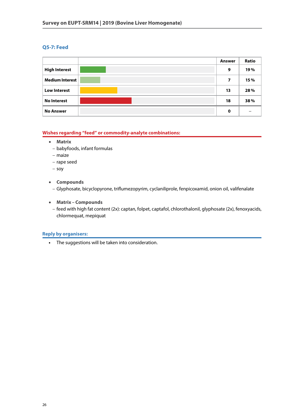#### **Q5-7: Feed**

|                        | <b>Answer</b> | Ratio |
|------------------------|---------------|-------|
| <b>High Interest</b>   | 9             | 19%   |
| <b>Medium Interest</b> | 7             | 15%   |
| <b>Low Interest</b>    | 13            | 28%   |
| <b>No Interest</b>     | 18            | 38%   |
| <b>No Answer</b>       | 0             |       |

#### **Wishes regarding "feed" or commodity-analyte combinations:**

- **Matrix**
	- − babyfoods, infant formulas
- − maize
- − rape seed
- − soy
- **Compounds**
	- − Glyphosate, bicyclopyrone, triflumezopyrim, cyclaniliprole, fenpicoxamid, onion oil, valifenalate
- **Matrix Compounds**
- − feed with high fat content (2x): captan, folpet, captafol, chlorothalonil, glyphosate (2x), fenoxyacids, chlormequat, mepiquat

#### **Reply by organisers:**